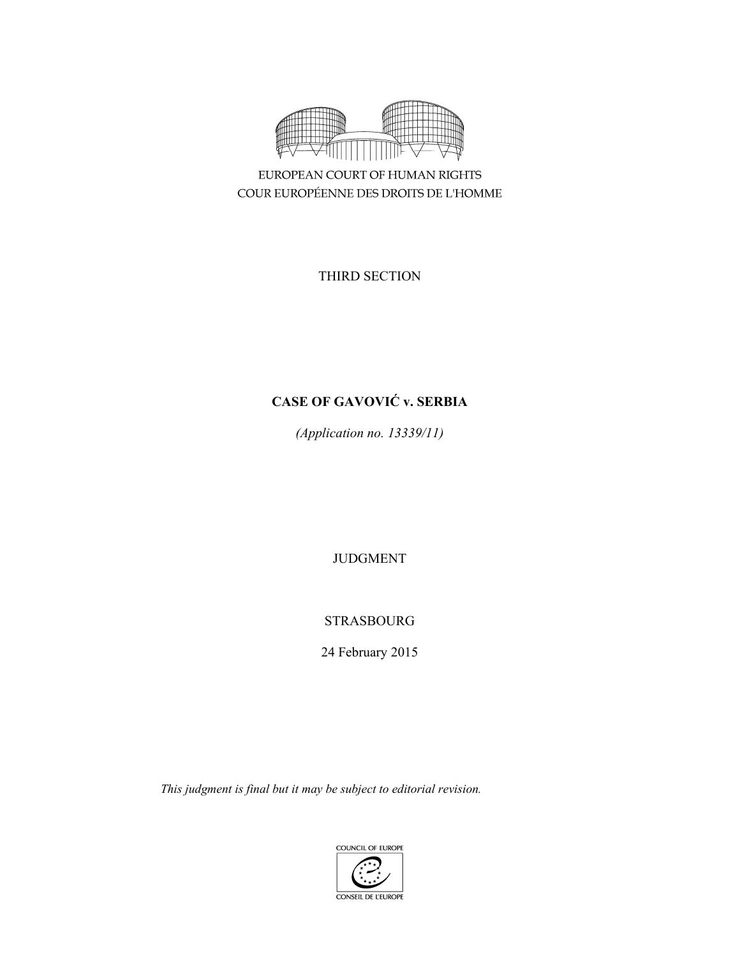

EUROPEAN COURT OF HUMAN RIGHTS COUR EUROPÉENNE DES DROITS DE L'HOMME

THIRD SECTION

# **CASE OF GAVOVIĆ v. SERBIA**

*(Application no. 13339/11)* 

JUDGMENT

STRASBOURG

24 February 2015

*This judgment is final but it may be subject to editorial revision.*

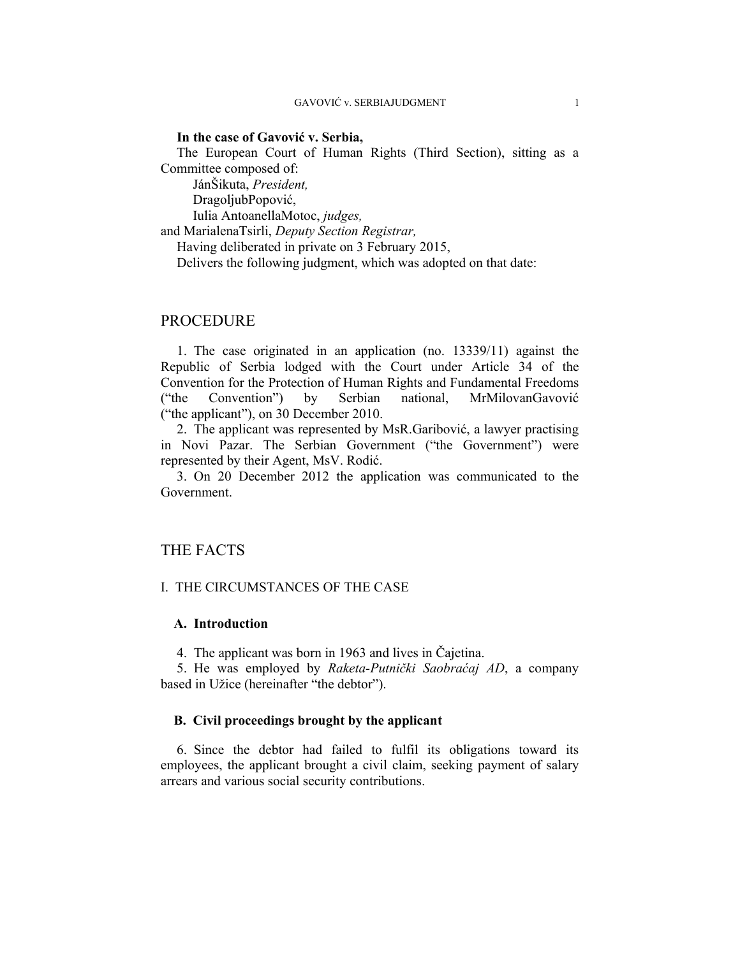## **In the case of Gavović v. Serbia,**

The European Court of Human Rights (Third Section), sitting as a Committee composed of:

 JánŠikuta, *President,*  DragoljubPopović, Iulia AntoanellaMotoc, *judges,* and MarialenaTsirli, *Deputy Section Registrar,*

Having deliberated in private on 3 February 2015, Delivers the following judgment, which was adopted on that date:

# **PROCEDURE**

1. The case originated in an application (no. 13339/11) against the Republic of Serbia lodged with the Court under Article 34 of the Convention for the Protection of Human Rights and Fundamental Freedoms ("the Convention") by Serbian national, MrMilovanGavović ("the applicant"), on 30 December 2010.

2. The applicant was represented by MsR.Garibović, a lawyer practising in Novi Pazar. The Serbian Government ("the Government") were represented by their Agent, MsV. Rodić.

3. On 20 December 2012 the application was communicated to the Government.

# THE FACTS

# I. THE CIRCUMSTANCES OF THE CASE

# **A. Introduction**

4. The applicant was born in 1963 and lives in Čajetina.

5. He was employed by *Raketa-Putnički Saobraćaj AD*, a company based in Užice (hereinafter "the debtor").

## **B. Civil proceedings brought by the applicant**

6. Since the debtor had failed to fulfil its obligations toward its employees, the applicant brought a civil claim, seeking payment of salary arrears and various social security contributions.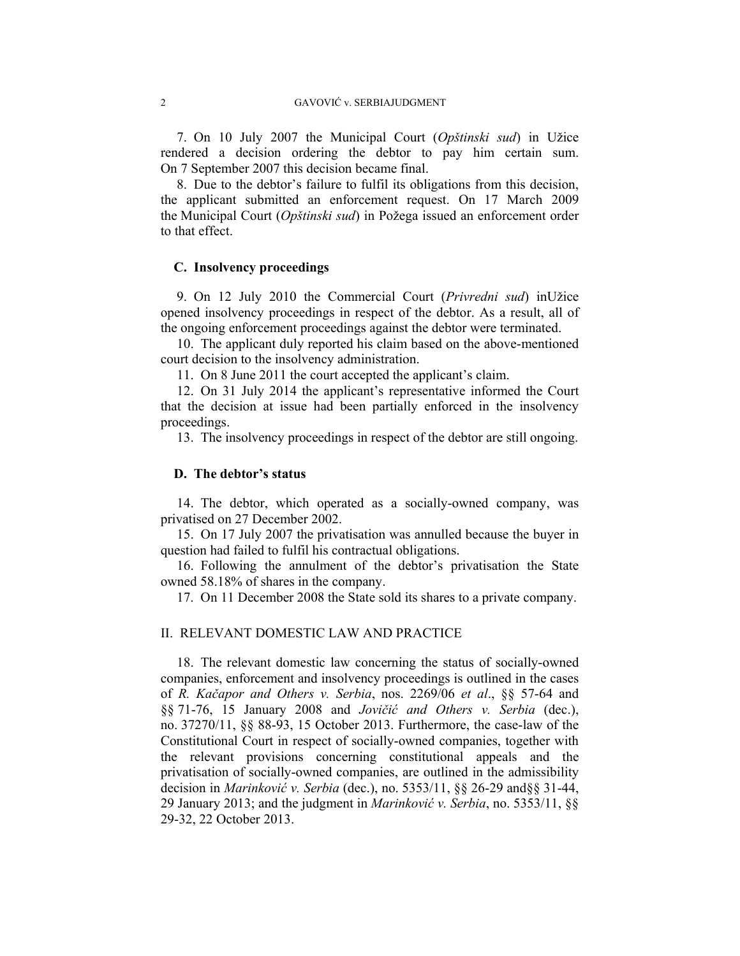7. On 10 July 2007 the Municipal Court (*Opštinski sud*) in Užice rendered a decision ordering the debtor to pay him certain sum. On 7 September 2007 this decision became final.

8. Due to the debtor's failure to fulfil its obligations from this decision, the applicant submitted an enforcement request. On 17 March 2009 the Municipal Court (*Opštinski sud*) in Požega issued an enforcement order to that effect.

# **C. Insolvency proceedings**

9. On 12 July 2010 the Commercial Court (*Privredni sud*) inUžice opened insolvency proceedings in respect of the debtor. As a result, all of the ongoing enforcement proceedings against the debtor were terminated.

10. The applicant duly reported his claim based on the above-mentioned court decision to the insolvency administration.

11. On 8 June 2011 the court accepted the applicant's claim.

12. On 31 July 2014 the applicant's representative informed the Court that the decision at issue had been partially enforced in the insolvency proceedings.

13. The insolvency proceedings in respect of the debtor are still ongoing.

### **D. The debtor's status**

14. The debtor, which operated as a socially-owned company, was privatised on 27 December 2002.

15. On 17 July 2007 the privatisation was annulled because the buyer in question had failed to fulfil his contractual obligations.

16. Following the annulment of the debtor's privatisation the State owned 58.18% of shares in the company.

17. On 11 December 2008 the State sold its shares to a private company.

# II. RELEVANT DOMESTIC LAW AND PRACTICE

18. The relevant domestic law concerning the status of socially-owned companies, enforcement and insolvency proceedings is outlined in the cases of *R. Kačapor and Others v. Serbia*, nos. 2269/06 *et al*., §§ 57-64 and §§ 71-76, 15 January 2008 and *Jovičić and Others v. Serbia* (dec.), no. 37270/11, §§ 88-93, 15 October 2013. Furthermore, the case-law of the Constitutional Court in respect of socially-owned companies, together with the relevant provisions concerning constitutional appeals and the privatisation of socially-owned companies, are outlined in the admissibility decision in *Marinković v. Serbia* (dec.), no. 5353/11, §§ 26-29 and§§ 31-44, 29 January 2013; and the judgment in *Marinković v. Serbia*, no. 5353/11, §§ 29-32, 22 October 2013.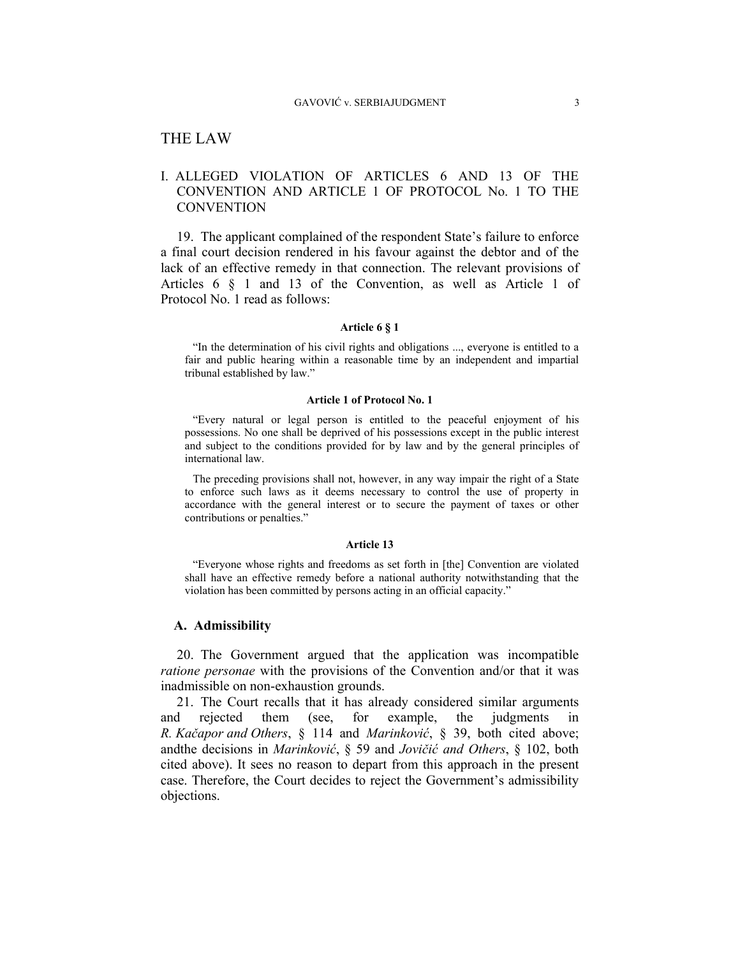# THE LAW

# I. ALLEGED VIOLATION OF ARTICLES 6 AND 13 OF THE CONVENTION AND ARTICLE 1 OF PROTOCOL No. 1 TO THE **CONVENTION**

19. The applicant complained of the respondent State's failure to enforce a final court decision rendered in his favour against the debtor and of the lack of an effective remedy in that connection. The relevant provisions of Articles 6 § 1 and 13 of the Convention, as well as Article 1 of Protocol No. 1 read as follows:

#### **Article 6 § 1**

"In the determination of his civil rights and obligations ..., everyone is entitled to a fair and public hearing within a reasonable time by an independent and impartial tribunal established by law."

#### **Article 1 of Protocol No. 1**

"Every natural or legal person is entitled to the peaceful enjoyment of his possessions. No one shall be deprived of his possessions except in the public interest and subject to the conditions provided for by law and by the general principles of international law.

The preceding provisions shall not, however, in any way impair the right of a State to enforce such laws as it deems necessary to control the use of property in accordance with the general interest or to secure the payment of taxes or other contributions or penalties."

#### **Article 13**

"Everyone whose rights and freedoms as set forth in [the] Convention are violated shall have an effective remedy before a national authority notwithstanding that the violation has been committed by persons acting in an official capacity."

### **A. Admissibility**

20. The Government argued that the application was incompatible *ratione personae* with the provisions of the Convention and/or that it was inadmissible on non-exhaustion grounds.

21. The Court recalls that it has already considered similar arguments and rejected them (see, for example, the judgments in *R. Kačapor and Others*, § 114 and *Marinković*, § 39, both cited above; andthe decisions in *Marinković*, § 59 and *Jovičić and Others*, § 102, both cited above). It sees no reason to depart from this approach in the present case. Therefore, the Court decides to reject the Government's admissibility objections.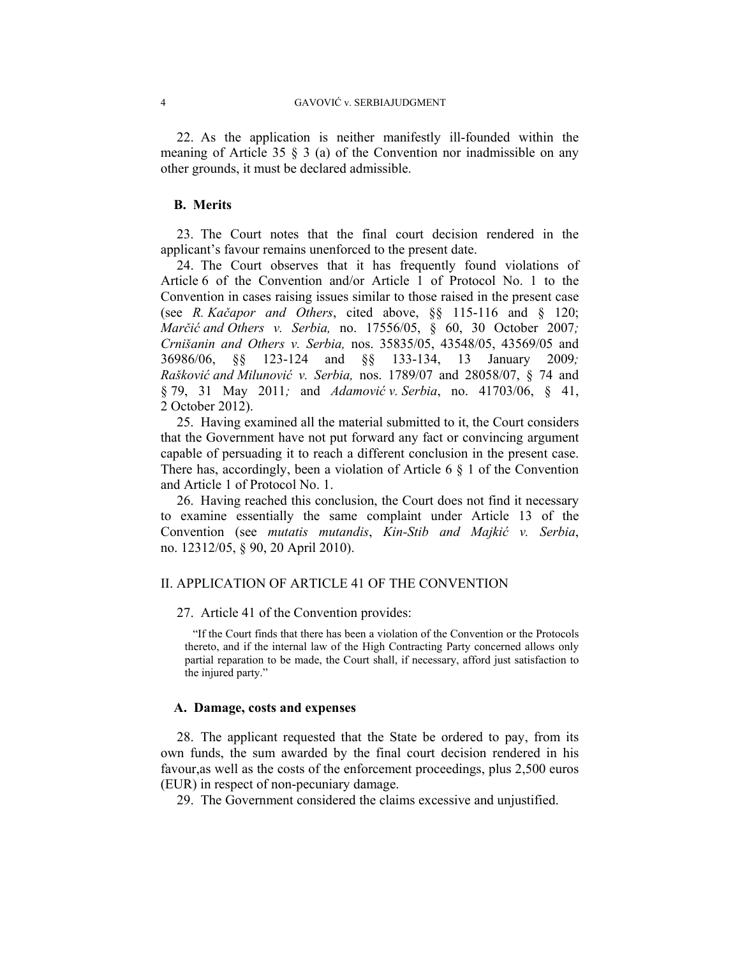22. As the application is neither manifestly ill-founded within the meaning of Article 35  $\S$  3 (a) of the Convention nor inadmissible on any other grounds, it must be declared admissible.

### **B. Merits**

23. The Court notes that the final court decision rendered in the applicant's favour remains unenforced to the present date.

24. The Court observes that it has frequently found violations of Article 6 of the Convention and/or Article 1 of Protocol No. 1 to the Convention in cases raising issues similar to those raised in the present case (see *R. Kačapor and Others*, cited above, §§ 115-116 and § 120; *Marčić and Others v. Serbia,* no. 17556/05, § 60, 30 October 2007*; Crnišanin and Others v. Serbia,* nos. 35835/05, 43548/05, 43569/05 and 36986/06, §§ 123-124 and §§ 133-134, 13 January 2009*; Rašković and Milunović v. Serbia,* nos. 1789/07 and 28058/07, § 74 and § 79, 31 May 2011*;* and *Adamović v. Serbia*, no. 41703/06, § 41, 2 October 2012).

25. Having examined all the material submitted to it, the Court considers that the Government have not put forward any fact or convincing argument capable of persuading it to reach a different conclusion in the present case. There has, accordingly, been a violation of Article 6  $\S$  1 of the Convention and Article 1 of Protocol No. 1.

26. Having reached this conclusion, the Court does not find it necessary to examine essentially the same complaint under Article 13 of the Convention (see *mutatis mutandis*, *Kin-Stib and Majkić v. Serbia*, no. 12312/05, § 90, 20 April 2010).

# II. APPLICATION OF ARTICLE 41 OF THE CONVENTION

27. Article 41 of the Convention provides:

"If the Court finds that there has been a violation of the Convention or the Protocols thereto, and if the internal law of the High Contracting Party concerned allows only partial reparation to be made, the Court shall, if necessary, afford just satisfaction to the injured party."

#### **A. Damage, costs and expenses**

28. The applicant requested that the State be ordered to pay, from its own funds, the sum awarded by the final court decision rendered in his favour,as well as the costs of the enforcement proceedings, plus 2,500 euros (EUR) in respect of non-pecuniary damage.

29. The Government considered the claims excessive and unjustified.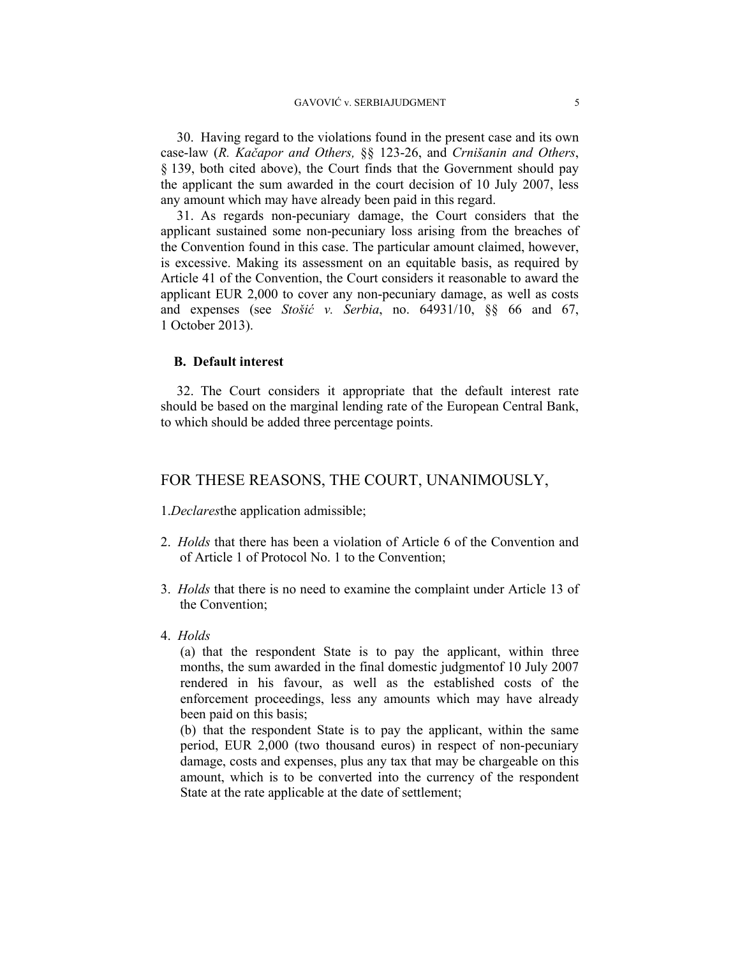30. Having regard to the violations found in the present case and its own case-law (*R. Kačapor and Others,* §§ 123-26, and *Crnišanin and Others*, § 139, both cited above), the Court finds that the Government should pay the applicant the sum awarded in the court decision of 10 July 2007, less any amount which may have already been paid in this regard.

31. As regards non-pecuniary damage, the Court considers that the applicant sustained some non-pecuniary loss arising from the breaches of the Convention found in this case. The particular amount claimed, however, is excessive. Making its assessment on an equitable basis, as required by Article 41 of the Convention, the Court considers it reasonable to award the applicant EUR 2,000 to cover any non-pecuniary damage, as well as costs and expenses (see *Stošić v. Serbia*, no. 64931/10, §§ 66 and 67, 1 October 2013).

## **B. Default interest**

32. The Court considers it appropriate that the default interest rate should be based on the marginal lending rate of the European Central Bank, to which should be added three percentage points.

# FOR THESE REASONS, THE COURT, UNANIMOUSLY,

1.*Declares*the application admissible;

- 2. *Holds* that there has been a violation of Article 6 of the Convention and of Article 1 of Protocol No. 1 to the Convention;
- 3. *Holds* that there is no need to examine the complaint under Article 13 of the Convention;
- 4. *Holds*

(a) that the respondent State is to pay the applicant, within three months, the sum awarded in the final domestic judgmentof 10 July 2007 rendered in his favour, as well as the established costs of the enforcement proceedings, less any amounts which may have already been paid on this basis;

(b) that the respondent State is to pay the applicant, within the same period, EUR 2,000 (two thousand euros) in respect of non-pecuniary damage, costs and expenses, plus any tax that may be chargeable on this amount, which is to be converted into the currency of the respondent State at the rate applicable at the date of settlement;